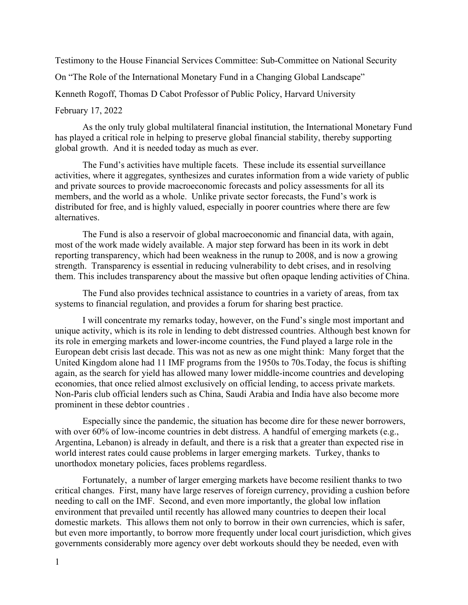Testimony to the House Financial Services Committee: Sub-Committee on National Security

On "The Role of the International Monetary Fund in a Changing Global Landscape"

Kenneth Rogoff, Thomas D Cabot Professor of Public Policy, Harvard University

## February 17, 2022

As the only truly global multilateral financial institution, the International Monetary Fund has played a critical role in helping to preserve global financial stability, thereby supporting global growth. And it is needed today as much as ever.

The Fund's activities have multiple facets. These include its essential surveillance activities, where it aggregates, synthesizes and curates information from a wide variety of public and private sources to provide macroeconomic forecasts and policy assessments for all its members, and the world as a whole. Unlike private sector forecasts, the Fund's work is distributed for free, and is highly valued, especially in poorer countries where there are few alternatives.

The Fund is also a reservoir of global macroeconomic and financial data, with again, most of the work made widely available. A major step forward has been in its work in debt reporting transparency, which had been weakness in the runup to 2008, and is now a growing strength. Transparency is essential in reducing vulnerability to debt crises, and in resolving them. This includes transparency about the massive but often opaque lending activities of China.

The Fund also provides technical assistance to countries in a variety of areas, from tax systems to financial regulation, and provides a forum for sharing best practice.

I will concentrate my remarks today, however, on the Fund's single most important and unique activity, which is its role in lending to debt distressed countries. Although best known for its role in emerging markets and lower-income countries, the Fund played a large role in the European debt crisis last decade. This was not as new as one might think: Many forget that the United Kingdom alone had 11 IMF programs from the 1950s to 70s.Today, the focus is shifting again, as the search for yield has allowed many lower middle-income countries and developing economies, that once relied almost exclusively on official lending, to access private markets. Non-Paris club official lenders such as China, Saudi Arabia and India have also become more prominent in these debtor countries .

Especially since the pandemic, the situation has become dire for these newer borrowers, with over 60% of low-income countries in debt distress. A handful of emerging markets (e.g., Argentina, Lebanon) is already in default, and there is a risk that a greater than expected rise in world interest rates could cause problems in larger emerging markets. Turkey, thanks to unorthodox monetary policies, faces problems regardless.

Fortunately, a number of larger emerging markets have become resilient thanks to two critical changes. First, many have large reserves of foreign currency, providing a cushion before needing to call on the IMF. Second, and even more importantly, the global low inflation environment that prevailed until recently has allowed many countries to deepen their local domestic markets. This allows them not only to borrow in their own currencies, which is safer, but even more importantly, to borrow more frequently under local court jurisdiction, which gives governments considerably more agency over debt workouts should they be needed, even with